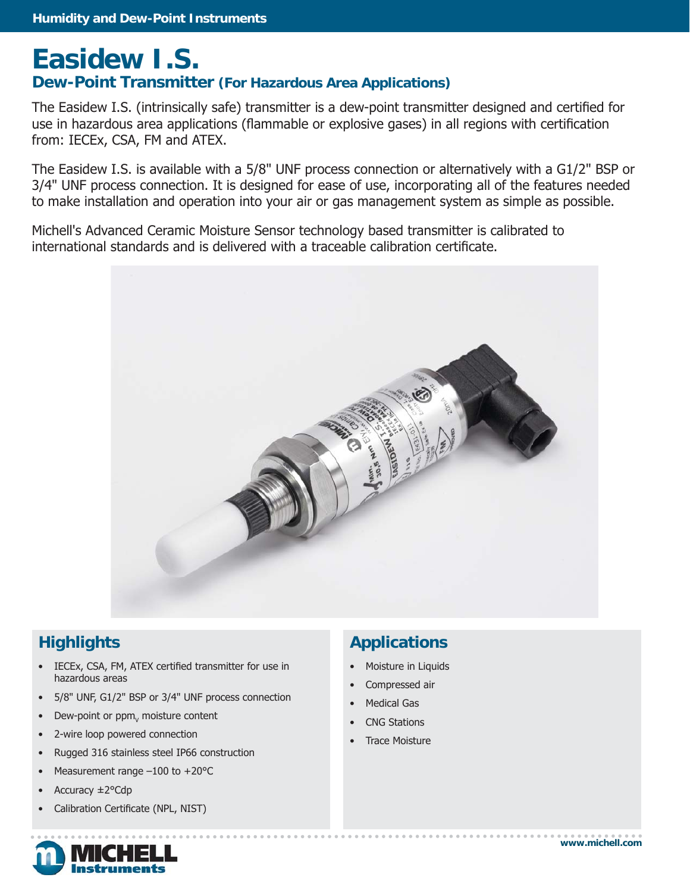## **Easidew I.S. Dew-Point Transmitter (For Hazardous Area Applications)**

The Easidew I.S. (intrinsically safe) transmitter is a dew-point transmitter designed and certified for use in hazardous area applications (flammable or explosive gases) in all regions with certification from: IECEx, CSA, FM and ATEX.

The Easidew I.S. is available with a 5/8" UNF process connection or alternatively with a G1/2" BSP or 3/4" UNF process connection. It is designed for ease of use, incorporating all of the features needed to make installation and operation into your air or gas management system as simple as possible.

Michell's Advanced Ceramic Moisture Sensor technology based transmitter is calibrated to international standards and is delivered with a traceable calibration certificate.



### **Highlights**

- IECEx, CSA, FM, ATEX certified transmitter for use in hazardous areas
- 5/8" UNF, G1/2" BSP or 3/4" UNF process connection
- Dew-point or  $ppm<sub>v</sub>$  moisture content
- 2-wire loop powered connection
- Rugged 316 stainless steel IP66 construction
- Measurement range  $-100$  to  $+20^{\circ}$ C
- Accuracy ±2°Cdp
- Calibration Certificate (NPL, NIST)



### **Applications**

- Moisture in Liquids
- Compressed air
- **Medical Gas**
- CNG Stations
- Trace Moisture